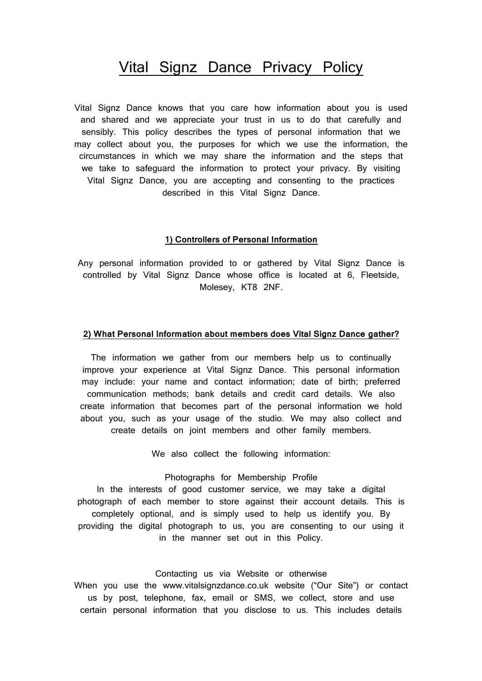# Vital Signz Dance Privacy Policy

Vital Signz Dance knows that you care how information about you is used and shared and we appreciate your trust in us to do that carefully and sensibly. This policy describes the types of personal information that we may collect about you, the purposes for which we use the information, the circumstances in which we may share the information and the steps that we take to safeguard the information to protect your privacy. By visiting Vital Signz Dance, you are accepting and consenting to the practices described in this Vital Signz Dance.

# **1) Controllers of Personal Information**

Any personal information provided to or gathered by Vital Signz Dance is controlled by Vital Signz Dance whose office is located at 6, Fleetside, Molesey, KT8 2NF.

## **2) What Personal Information about members does Vital Signz Dance gather?**

The information we gather from our members help us to continually improve your experience at Vital Signz Dance. This personal information may include: your name and contact information; date of birth; preferred communication methods; bank details and credit card details. We also create information that becomes part of the personal information we hold about you, such as your usage of the studio. We may also collect and create details on joint members and other family members.

We also collect the following information:

## Photographs for Membership Profile

In the interests of good customer service, we may take a digital photograph of each member to store against their account details. This is completely optional, and is simply used to help us identify you. By providing the digital photograph to us, you are consenting to our using it in the manner set out in this Policy.

#### Contacting us via Website or otherwise

When you use the www.vitalsignzdance.co.uk website ("Our Site") or contact us by post, telephone, fax, email or SMS, we collect, store and use certain personal information that you disclose to us. This includes details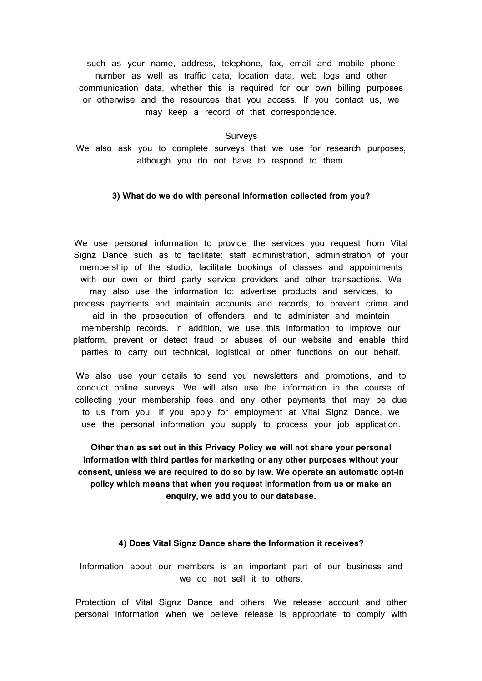such as your name, address, telephone, fax, email and mobile phone number as well as traffic data, location data, web logs and other communication data, whether this is required for our own billing purposes or otherwise and the resources that you access. If you contact us, we may keep a record of that correspondence.

## Surveys

We also ask you to complete surveys that we use for research purposes, although you do not have to respond to them.

#### **3) What do we do with personal information collected from you?**

We use personal information to provide the services you request from Vital Signz Dance such as to facilitate: staff administration, administration of your membership of the studio, facilitate bookings of classes and appointments with our own or third party service providers and other transactions. We may also use the information to: advertise products and services, to process payments and maintain accounts and records, to prevent crime and aid in the prosecution of offenders, and to administer and maintain membership records. In addition, we use this information to improve our platform, prevent or detect fraud or abuses of our website and enable third parties to carry out technical, logistical or other functions on our behalf.

We also use your details to send you newsletters and promotions, and to conduct online surveys. We will also use the information in the course of collecting your membership fees and any other payments that may be due to us from you. If you apply for employment at Vital Signz Dance, we use the personal information you supply to process your job application.

**Other than as set out in this Privacy Policy we will not share your personal information with third parties for marketing or any other purposes without your consent, unless we are required to do so by law. We operate an automatic opt-in policy which means that when you request information from us or make an enquiry, we add you to our database.**

# **4) Does Vital Signz Dance share the Information it receives?**

Information about our members is an important part of our business and we do not sell it to others.

Protection of Vital Signz Dance and others: We release account and other personal information when we believe release is appropriate to comply with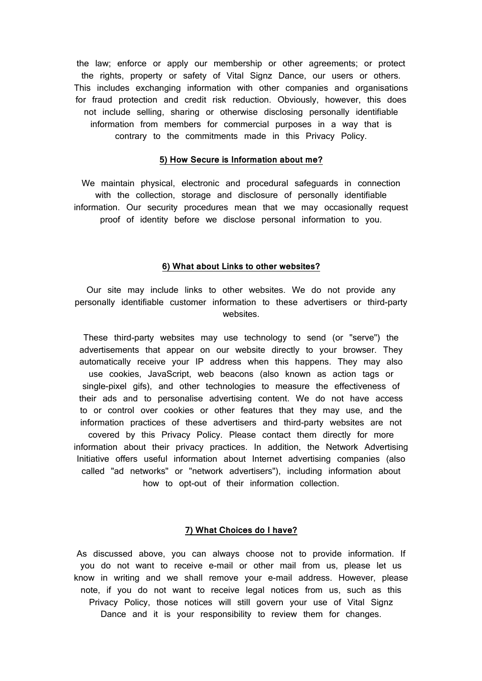the law; enforce or apply our membership or other agreements; or protect the rights, property or safety of Vital Signz Dance, our users or others. This includes exchanging information with other companies and organisations for fraud protection and credit risk reduction. Obviously, however, this does not include selling, sharing or otherwise disclosing personally identifiable information from members for commercial purposes in a way that is contrary to the commitments made in this Privacy Policy.

#### **5) How Secure is Information about me?**

We maintain physical, electronic and procedural safeguards in connection with the collection, storage and disclosure of personally identifiable information. Our security procedures mean that we may occasionally request proof of identity before we disclose personal information to you.

#### **6) What about Links to other websites?**

Our site may include links to other websites. We do not provide any personally identifiable customer information to these advertisers or third-party websites.

These third-party websites may use technology to send (or "serve") the advertisements that appear on our website directly to your browser. They automatically receive your IP address when this happens. They may also use cookies, JavaScript, web beacons (also known as action tags or single-pixel gifs), and other technologies to measure the effectiveness of their ads and to personalise advertising content. We do not have access to or control over cookies or other features that they may use, and the information practices of these advertisers and third-party websites are not covered by this Privacy Policy. Please contact them directly for more information about their privacy practices. In addition, the Network Advertising Initiative offers useful information about Internet advertising companies (also called "ad networks" or "network advertisers"), including information about how to opt-out of their information collection.

# **7) What Choices do I have?**

As discussed above, you can always choose not to provide information. If you do not want to receive e-mail or other mail from us, please let us know in writing and we shall remove your e-mail address. However, please note, if you do not want to receive legal notices from us, such as this Privacy Policy, those notices will still govern your use of Vital Signz Dance and it is your responsibility to review them for changes.